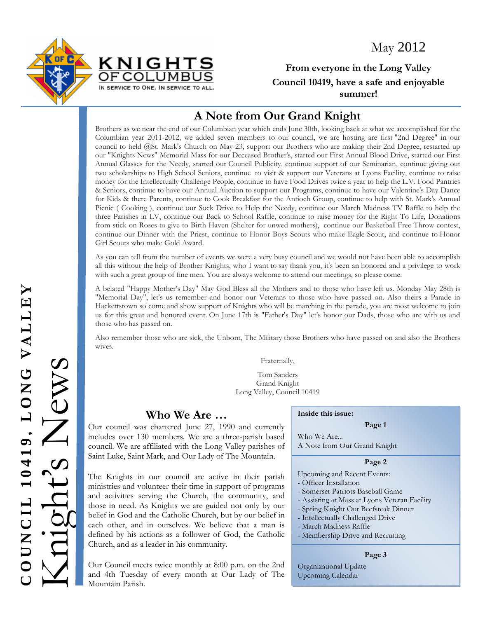May 2012





**From everyone in the Long Valley Council 10419, have a safe and enjoyable summer!** 

## **A Note from Our Grand Knight**

Brothers as we near the end of our Columbian year which ends June 30th, looking back at what we accomplished for the Columbian year 2011-2012, we added seven members to our council, we are hosting are first "2nd Degree" in our council to held @St. Mark's Church on May 23, support our Brothers who are making their 2nd Degree, restarted up our "Knights News" Memorial Mass for our Deceased Brother's, started our First Annual Blood Drive, started our First Annual Glasses for the Needy, started our Council Publicity, continue support of our Seminarian, continue giving out two scholarships to High School Seniors, continue to visit & support our Veterans at Lyons Facility, continue to raise money for the Intellectually Challenge People, continue to have Food Drives twice a year to help the L.V. Food Pantries & Seniors, continue to have our Annual Auction to support our Programs, continue to have our Valentine's Day Dance for Kids & there Parents, continue to Cook Breakfast for the Antioch Group, continue to help with St. Mark's Annual Picnic ( Cooking ), continue our Sock Drive to Help the Needy, continue our March Madness TV Raffle to help the three Parishes in LV, continue our Back to School Raffle, continue to raise money for the Right To Life, Donations from stick on Roses to give to Birth Haven (Shelter for unwed mothers), continue our Basketball Free Throw contest, continue our Dinner with the Priest, continue to Honor Boys Scouts who make Eagle Scout, and continue to Honor Girl Scouts who make Gold Award.

As you can tell from the number of events we were a very busy council and we would not have been able to accomplish all this without the help of Brother Knights, who I want to say thank you, it's been an honored and a privilege to work with such a great group of fine men. You are always welcome to attend our meetings, so please come.

A belated "Happy Mother's Day" May God Bless all the Mothers and to those who have left us. Monday May 28th is "Memorial Day", let's us remember and honor our Veterans to those who have passed on. Also theirs a Parade in Hackettstown so come and show support of Knights who will be marching in the parade, you are most welcome to join us for this great and honored event. On June 17th is "Father's Day" let's honor our Dads, those who are with us and those who has passed on.

Also remember those who are sick, the Unborn, The Military those Brothers who have passed on and also the Brothers wives.

Fraternally,

Tom Sanders Grand Knight Long Valley, Council 10419

### **Who We Are …**

includes over 130 members. We are a three-parish based council. We are affiliated with the Long Valley parishes of Saint Luke, Saint Mark, and Our Lady of The Mountain.

Fratem Tom San<br>
Tom San<br>
Council was chartered June 27, 1990 and currently<br>council was chartered June 27, 1990 and currently<br>includes over 130 members. We are a three-parish based<br>council. We are affiliated with the Long V The Knights in our council are active in their parish ministries and volunteer their time in support of programs and activities serving the Church, the community, and those in need. As Knights we are guided not only by our belief in God and the Catholic Church, but by our belief in each other, and in ourselves. We believe that a man is defined by his actions as a follower of God, the Catholic Church, and as a leader in his community.

Our Council meets twice monthly at 8:00 p.m. on the 2nd and 4th Tuesday of every month at Our Lady of The Mountain Parish.

#### **Inside this issue:**

#### **Page 1**

Who We Are... A Note from Our Grand Knight

#### **Page 2**

- Upcoming and Recent Events:
- Officer Installation
- Somerset Patriots Baseball Game
- Assisting at Mass at Lyons Veteran Facility
- Spring Knight Out Beefsteak Dinner
- Intellectually Challenged Drive
	- March Madness Raffle
- Membership Drive and Recruiting

#### **Page 3**

Organizational Update Upcoming Calendar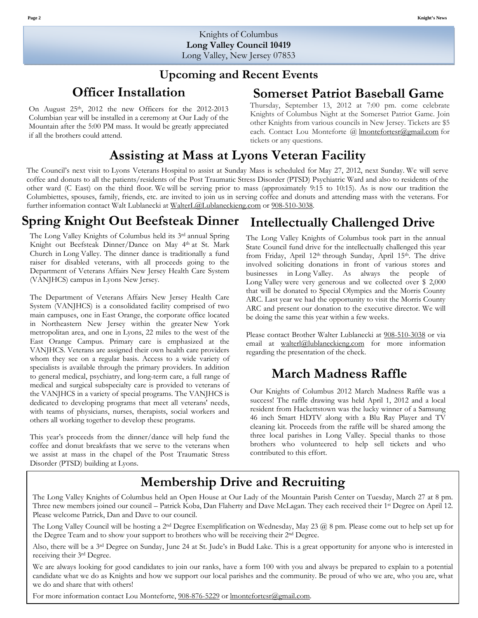### **Upcoming and Recent Events**

### **Officer Installation**

On August 25th, 2012 the new Officers for the 2012-2013 Columbian year will be installed in a ceremony at Our Lady of the Mountain after the 5:00 PM mass. It would be greatly appreciated if all the brothers could attend.

### **Somerset Patriot Baseball Game**

Thursday, September 13, 2012 at 7:00 pm. come celebrate Knights of Columbus Night at the Somerset Patriot Game. Join other Knights from various councils in New Jersey. Tickets are \$5 each. Contact Lou Monteforte @ Imontefortesr@gmail.com for tickets or any questions.

# **Assisting at Mass at Lyons Veteran Facility**

The Council's next visit to Lyons Veterans Hospital to assist at Sunday Mass is scheduled for May 27, 2012, next Sunday. We will serve coffee and donuts to all the patients/residents of the Post Traumatic Stress Disorder (PTSD) Psychiatric Ward and also to residents of the other ward (C East) on the third floor. We will be serving prior to mass (approximately 9:15 to 10:15). As is now our tradition the Columbiettes, spouses, family, friends, etc. are invited to join us in serving coffee and donuts and attending mass with the veterans. For further information contact Walt Lublanecki at WalterL@Lublaneckieng.com or 908-510-3038.

#### **Intellectually Challenged Drive Spring Knight Out Beefsteak Dinner**

The Long Valley Knights of Columbus held its 3rd annual Spring Knight out Beefsteak Dinner/Dance on May 4th at St. Mark Church in Long Valley. The dinner dance is traditionally a fund raiser for disabled veterans, with all proceeds going to the Department of Veterans Affairs New Jersey Health Care System (VANJHCS) campus in Lyons New Jersey.

The Department of Veterans Affairs New Jersey Health Care System (VANJHCS) is a consolidated facility comprised of two main campuses, one in East Orange, the corporate office located in Northeastern New Jersey within the greater New York metropolitan area, and one in Lyons, 22 miles to the west of the East Orange Campus. Primary care is emphasized at the VANJHCS. Veterans are assigned their own health care providers whom they see on a regular basis. Access to a wide variety of specialists is available through the primary providers. In addition to general medical, psychiatry, and long-term care, a full range of medical and surgical subspecialty care is provided to veterans of the VANJHCS in a variety of special programs. The VANJHCS is dedicated to developing programs that meet all veterans' needs, with teams of physicians, nurses, therapists, social workers and others all working together to develop these programs.

This year's proceeds from the dinner/dance will help fund the coffee and donut breakfasts that we serve to the veterans when we assist at mass in the chapel of the Post Traumatic Stress Disorder (PTSD) building at Lyons.

The Long Valley Knights of Columbus took part in the annual State Council fund drive for the intellectually challenged this year from Friday, April 12<sup>th</sup> through Sunday, April 15<sup>th</sup>. The drive involved soliciting donations in front of various stores and businesses in Long Valley. As always the people of Long Valley were very generous and we collected over \$ 2,000 that will be donated to Special Olympics and the Morris County ARC. Last year we had the opportunity to visit the Morris County ARC and present our donation to the executive director. We will be doing the same this year within a few weeks.

Please contact Brother Walter Lublanecki at 908-510-3038 or via email at walterl@lublaneckieng.com for more information regarding the presentation of the check.

## **March Madness Raffle**

Our Knights of Columbus 2012 March Madness Raffle was a success! The raffle drawing was held April 1, 2012 and a local resident from Hackettstown was the lucky winner of a Samsung 46 inch Smart HDTV along with a Blu Ray Player and TV cleaning kit. Proceeds from the raffle will be shared among the three local parishes in Long Valley. Special thanks to those brothers who volunteered to help sell tickets and who contributed to this effort.

# **Membership Drive and Recruiting**

The Long Valley Knights of Columbus held an Open House at Our Lady of the Mountain Parish Center on Tuesday, March 27 at 8 pm. Three new members joined our council – Patrick Koba, Dan Flaherty and Dave McLagan. They each received their 1st Degree on April 12. Please welcome Patrick, Dan and Dave to our council.

The Long Valley Council will be hosting a 2nd Degree Exemplification on Wednesday, May 23 @ 8 pm. Please come out to help set up for the Degree Team and to show your support to brothers who will be receiving their 2nd Degree.

Also, there will be a 3<sup>rd</sup> Degree on Sunday, June 24 at St. Jude's in Budd Lake. This is a great opportunity for anyone who is interested in receiving their 3rd Degree.

We are always looking for good candidates to join our ranks, have a form 100 with you and always be prepared to explain to a potential candidate what we do as Knights and how we support our local parishes and the community. Be proud of who we are, who you are, what we do and share that with others!

For more information contact Lou Monteforte,  $908-876-5229$  or lmontefortesr@gmail.com.